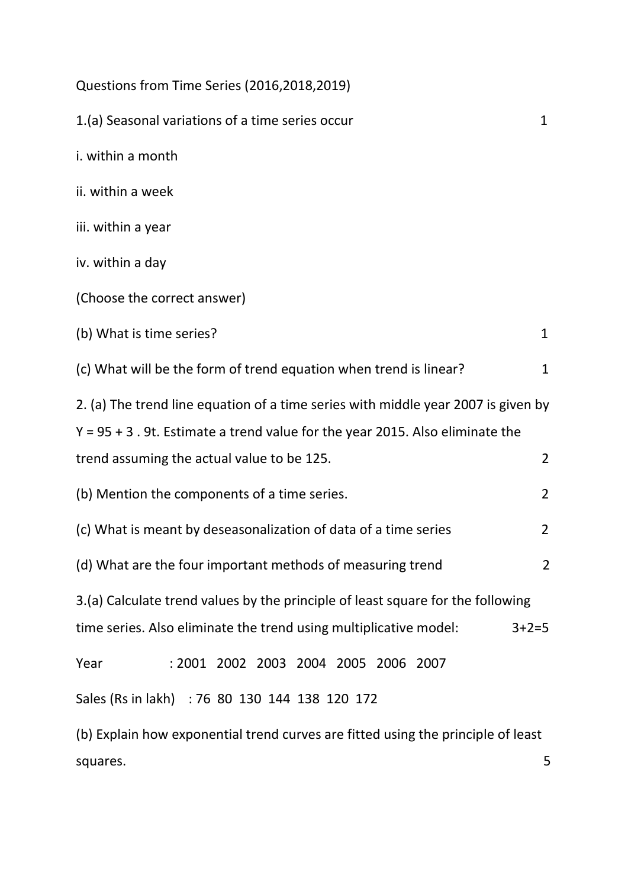| Questions from Time Series (2016,2018,2019)                                                                                                                          |                |
|----------------------------------------------------------------------------------------------------------------------------------------------------------------------|----------------|
| 1.(a) Seasonal variations of a time series occur                                                                                                                     | 1              |
| i. within a month                                                                                                                                                    |                |
| ii. within a week                                                                                                                                                    |                |
| iii. within a year                                                                                                                                                   |                |
| iv. within a day                                                                                                                                                     |                |
| (Choose the correct answer)                                                                                                                                          |                |
| (b) What is time series?                                                                                                                                             | $\mathbf{1}$   |
| (c) What will be the form of trend equation when trend is linear?                                                                                                    | $\mathbf{1}$   |
| 2. (a) The trend line equation of a time series with middle year 2007 is given by<br>$Y = 95 + 3$ . 9t. Estimate a trend value for the year 2015. Also eliminate the |                |
| trend assuming the actual value to be 125.                                                                                                                           | $\overline{2}$ |
| (b) Mention the components of a time series.                                                                                                                         | $\overline{2}$ |
| (c) What is meant by deseasonalization of data of a time series                                                                                                      | $\overline{2}$ |
| (d) What are the four important methods of measuring trend                                                                                                           | $\overline{2}$ |
| 3.(a) Calculate trend values by the principle of least square for the following<br>time series. Also eliminate the trend using multiplicative model:                 | $3 + 2 = 5$    |
| : 2001 2002 2003 2004 2005 2006 2007<br>Year                                                                                                                         |                |
| Sales (Rs in lakh) : 76 80 130 144 138 120 172                                                                                                                       |                |
| (b) Explain how exponential trend curves are fitted using the principle of least                                                                                     |                |
| squares.                                                                                                                                                             | 5              |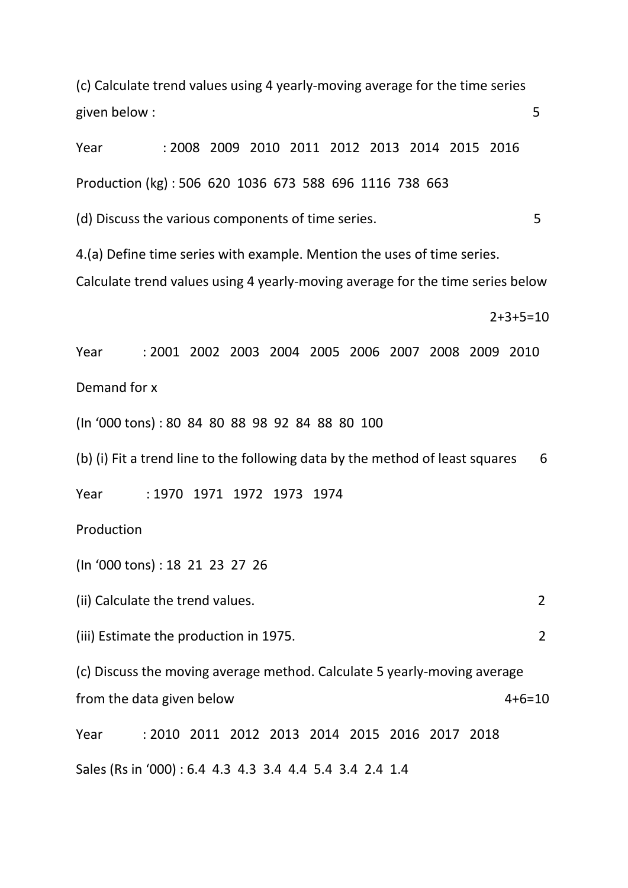(c) Calculate trend values using 4 yearly-moving average for the time series given below : 5

Year : 2008 2009 2010 2011 2012 2013 2014 2015 2016 Production (kg) : 506 620 1036 673 588 696 1116 738 663 (d) Discuss the various components of time series. 5 4.(a) Define time series with example. Mention the uses of time series. Calculate trend values using 4 yearly-moving average for the time series below

2+3+5=10

Year : 2001 2002 2003 2004 2005 2006 2007 2008 2009 2010 Demand for x

(In '000 tons) : 80 84 80 88 98 92 84 88 80 100

(b) (i) Fit a trend line to the following data by the method of least squares  $6<sup>2</sup>$ 

Year : 1970 1971 1972 1973 1974

Production

(In '000 tons) : 18 21 23 27 26

(ii) Calculate the trend values. 2

(iii) Estimate the production in 1975. 2

(c) Discuss the moving average method. Calculate 5 yearly-moving average from the data given below  $4+6=10$ 

Year : 2010 2011 2012 2013 2014 2015 2016 2017 2018 Sales (Rs in '000) : 6.4 4.3 4.3 3.4 4.4 5.4 3.4 2.4 1.4